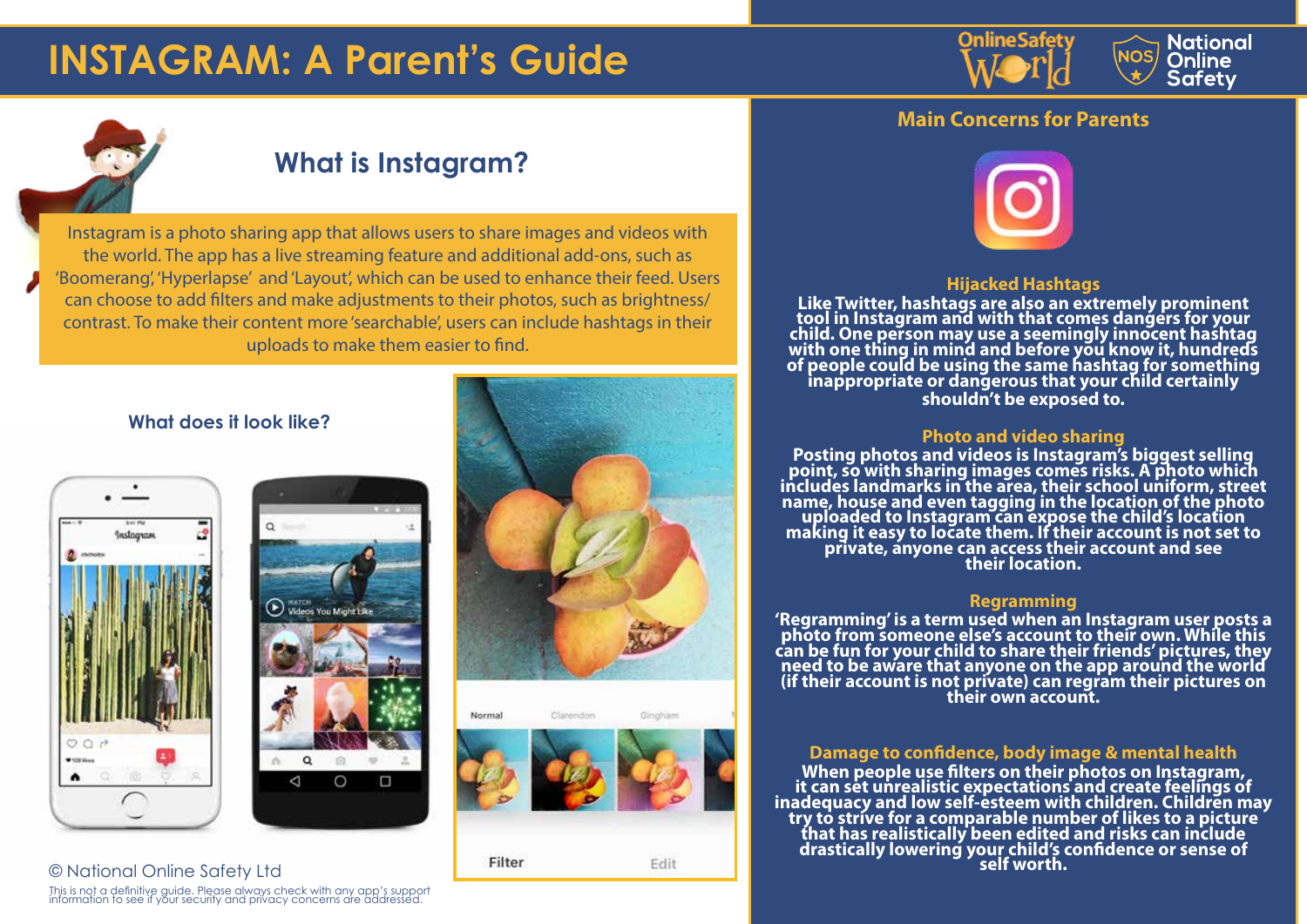# **INSTAGRAM: A Parent's Guide**





### **What is Instagram?**

Instagram is a photo sharing app that allows users to share images and videos with the world. The app has a live streaming feature and additional add-ons, such as 'Boomerang', 'Hyperlapse' and 'Layout', which can be used to enhance their feed. Users can choose to add filters and make adjustments to their photos, such as brightness/ contrast. To make their content more 'searchable', users can include hashtags in their uploads to make them easier to find.

### **What does it look like?**



© National Online Safety Ltd





Clarendon

Filter



#### Edit

**Main Concerns for Parents**



#### **Hijacked Hashtags**

**Like Twitter, hashtags are also an extremely prominent tool in Instagram and with that comes dangers for your child. One person may use a seemingly innocent hashtag with one thing in mind and before you know it, hundreds of people could be using the same hashtag for something inappropriate or dangerous that your child certainly shouldn't be exposed to.**

#### **Photo and video sharing**

**Posting photos and videos is Instagram's biggest selling point, so with sharing images comes risks. A photo which includes landmarks in the area, their school uniform, street**  mendes randmarks in the area, their school diffusion, street<br>name, house and even tagging in the location of the photo<br>uploaded to Instagram can expose the child's location<br>making it easy to locate them. If their account i

#### **Regramming**

**'Regramming' is a term used when an Instagram user posts a photo from someone else's account to their own. While this can be fun for your child to share their friends' pictures, they need to be aware that anyone on the app around the world (if their account is not private) can regram their pictures on their own account.**

#### **Damage to confidence, body image & mental health**

**When people use filters on their photos on Instagram, it can set unrealistic expectations and create feelings of inadequacy and low self-esteem with children. Children may try to strive for a comparable number of likes to a picture that has realistically been edited and risks can include drastically lowering your child's confidence or sense of self worth.**

This is not a definitive guide. Please always check with any app's support information to see if your security and privacy concerns are addressed.